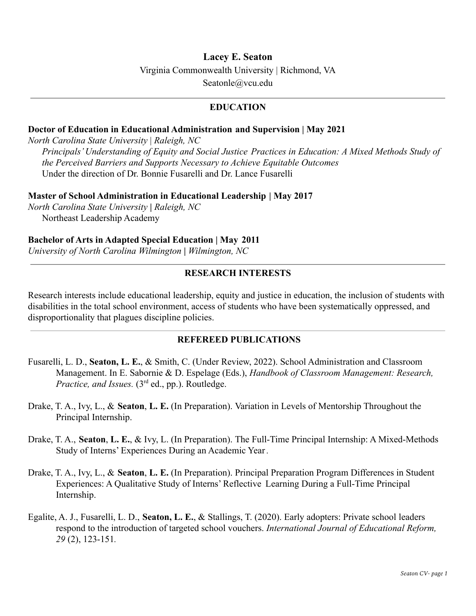# **Lacey E. Seaton**

Virginia Commonwealth University | Richmond, VA

[Seatonle@vcu.edu](mailto:Seatonle@vcu.edu)

## **EDUCATION**

### **Doctor of Education in Educational Administration and Supervision | May 2021**

*North Carolina State University* | *Raleigh, NC Principals' Understanding of Equity and Social Justice Practices in Education: A Mixed Methods Study of the Perceived Barriers and Supports Necessary to Achieve Equitable Outcomes* Under the direction of Dr. Bonnie Fusarelli and Dr. Lance Fusarelli

### **Master of School Administration in Educational Leadership | May 2017**

*North Carolina State University* **|** *Raleigh, NC* Northeast Leadership Academy

# **Bachelor of Arts in Adapted Special Education | May 2011**

*University of North Carolina Wilmington* **|** *Wilmington, NC*

# **RESEARCH INTERESTS**

Research interests include educational leadership, equity and justice in education, the inclusion of students with disabilities in the total school environment, access of students who have been systematically oppressed, and disproportionality that plagues discipline policies.

### **REFEREED PUBLICATIONS**

- Fusarelli, L. D., **Seaton, L. E.**, & Smith, C. (Under Review, 2022). School Administration and Classroom Management. In E. Sabornie & D. Espelage (Eds.), *Handbook of Classroom Management: Research, Practice, and Issues.* (3<sup>rd</sup> ed., pp.). Routledge.
- Drake, T. A., Ivy, L., & **Seaton**, **L. E.** (In Preparation). Variation in Levels of Mentorship Throughout the Principal Internship.
- Drake, T. A., **Seaton**, **L. E.**, & Ivy, L. (In Preparation). The Full-Time Principal Internship: A Mixed-Methods Study of Interns' Experiences During an Academic Year *.*
- Drake, T. A., Ivy, L., & **Seaton**, **L. E.** (In Preparation). Principal Preparation Program Differences in Student Experiences: A Qualitative Study of Interns' Reflective Learning During a Full-Time Principal Internship.
- Egalite, A. J., Fusarelli, L. D., **Seaton, L. E.**, & Stallings, T. (2020). Early adopters: Private school leaders respond to the introduction of targeted school vouchers. *International Journal of Educational Reform, 29* (2), 123-151*.*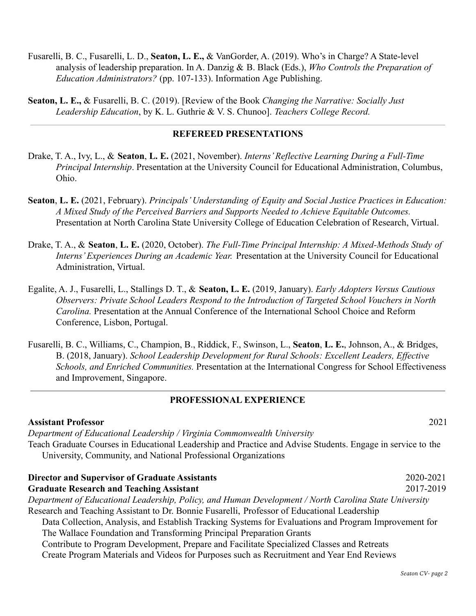- Fusarelli, B. C., Fusarelli, L. D., **Seaton, L. E.,** & VanGorder, A. (2019). Who's in Charge? A State-level analysis of leadership preparation. In A. Danzig & B. Black (Eds.), *Who Controls the Preparation of Education Administrators?* (pp. 107-133). Information Age Publishing.
- **Seaton, L. E.,** & Fusarelli, B. C. (2019). [Review of the Book *Changing the Narrative: Socially Just Leadership Education*, by K. L. Guthrie & V. S. Chunoo]. *Teachers College Record.*

#### **REFEREED PRESENTATIONS**

- Drake, T. A., Ivy, L., & **Seaton**, **L. E.** (2021, November). *Interns' Reflective Learning During a Full-Time Principal Internship*. Presentation at the University Council for Educational Administration, Columbus, Ohio.
- **Seaton**, **L. E.** (2021, February). *Principals' Understanding of Equity and Social Justice Practices in Education: A Mixed Study of the Perceived Barriers and Supports Needed to Achieve Equitable Outcomes.* Presentation at North Carolina State University College of Education Celebration of Research, Virtual.
- Drake, T. A., & **Seaton**, **L. E.** (2020, October). *The Full-Time Principal Internship: A Mixed-Methods Study of Interns' Experiences During an Academic Year.* Presentation at the University Council for Educational Administration, Virtual.
- Egalite, A. J., Fusarelli, L., Stallings D. T., & **Seaton, L. E.** (2019, January). *Early Adopters Versus Cautious Observers: Private School Leaders Respond to the Introduction of Targeted School Vouchers in North Carolina.* Presentation at the Annual Conference of the International School Choice and Reform Conference, Lisbon, Portugal.
- Fusarelli, B. C., Williams, C., Champion, B., Riddick, F., Swinson, L., **Seaton**, **L. E.**, Johnson, A., & Bridges, B. (2018, January). *School Leadership Development for Rural Schools: Excellent Leaders, Effective Schools, and Enriched Communities.* Presentation at the International Congress for School Effectiveness and Improvement, Singapore.

### **PROFESSIONAL EXPERIENCE**

**Assistant Professor** 2021 *Department of Educational Leadership / Virginia Commonwealth University* Teach Graduate Courses in Educational Leadership and Practice and Advise Students. Engage in service to the University, Community, and National Professional Organizations **Director and Supervisor of Graduate Assistants** 2020-2021 **Graduate Research and Teaching Assistant** 2017-2019

*Department of Educational Leadership, Policy, and Human Development / North Carolina State University* Research and Teaching Assistant to Dr. Bonnie Fusarelli, Professor of Educational Leadership Data Collection, Analysis, and Establish Tracking Systems for Evaluations and Program Improvement for The Wallace Foundation and Transforming Principal Preparation Grants Contribute to Program Development, Prepare and Facilitate Specialized Classes and Retreats

Create Program Materials and Videos for Purposes such as Recruitment and Year End Reviews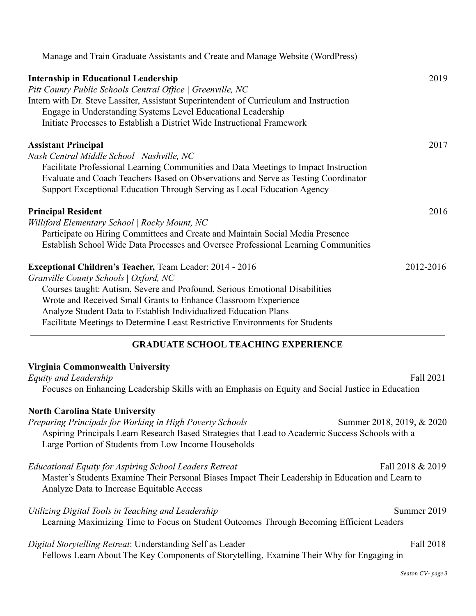| Manage and Train Graduate Assistants and Create and Manage Website (WordPress)                                                                                                                                                                                                                                                                                                                                                                               |                           |
|--------------------------------------------------------------------------------------------------------------------------------------------------------------------------------------------------------------------------------------------------------------------------------------------------------------------------------------------------------------------------------------------------------------------------------------------------------------|---------------------------|
| <b>Internship in Educational Leadership</b><br>Pitt County Public Schools Central Office   Greenville, NC<br>Intern with Dr. Steve Lassiter, Assistant Superintendent of Curriculum and Instruction<br>Engage in Understanding Systems Level Educational Leadership<br>Initiate Processes to Establish a District Wide Instructional Framework                                                                                                               | 2019                      |
| <b>Assistant Principal</b><br>Nash Central Middle School   Nashville, NC<br>Facilitate Professional Learning Communities and Data Meetings to Impact Instruction<br>Evaluate and Coach Teachers Based on Observations and Serve as Testing Coordinator<br>Support Exceptional Education Through Serving as Local Education Agency                                                                                                                            | 2017                      |
| <b>Principal Resident</b><br>Williford Elementary School   Rocky Mount, NC<br>Participate on Hiring Committees and Create and Maintain Social Media Presence<br>Establish School Wide Data Processes and Oversee Professional Learning Communities                                                                                                                                                                                                           | 2016                      |
| <b>Exceptional Children's Teacher, Team Leader: 2014 - 2016</b><br>Granville County Schools   Oxford, NC<br>Courses taught: Autism, Severe and Profound, Serious Emotional Disabilities<br>Wrote and Received Small Grants to Enhance Classroom Experience<br>Analyze Student Data to Establish Individualized Education Plans<br>Facilitate Meetings to Determine Least Restrictive Environments for Students<br><b>GRADUATE SCHOOL TEACHING EXPERIENCE</b> | 2012-2016                 |
| Virginia Commonwealth University<br>Equity and Leadership<br>Focuses on Enhancing Leadership Skills with an Emphasis on Equity and Social Justice in Education                                                                                                                                                                                                                                                                                               | Fall 2021                 |
| <b>North Carolina State University</b><br>Preparing Principals for Working in High Poverty Schools<br>Aspiring Principals Learn Research Based Strategies that Lead to Academic Success Schools with a<br>Large Portion of Students from Low Income Households                                                                                                                                                                                               | Summer 2018, 2019, & 2020 |
| <b>Educational Equity for Aspiring School Leaders Retreat</b><br>Master's Students Examine Their Personal Biases Impact Their Leadership in Education and Learn to<br>Analyze Data to Increase Equitable Access                                                                                                                                                                                                                                              | Fall 2018 & 2019          |
| Utilizing Digital Tools in Teaching and Leadership<br>Learning Maximizing Time to Focus on Student Outcomes Through Becoming Efficient Leaders                                                                                                                                                                                                                                                                                                               | Summer 2019               |
| Digital Storytelling Retreat: Understanding Self as Leader<br>Fellows Learn About The Key Components of Storytelling, Examine Their Why for Engaging in                                                                                                                                                                                                                                                                                                      | Fall 2018                 |
|                                                                                                                                                                                                                                                                                                                                                                                                                                                              | Seaton CV- page 3         |